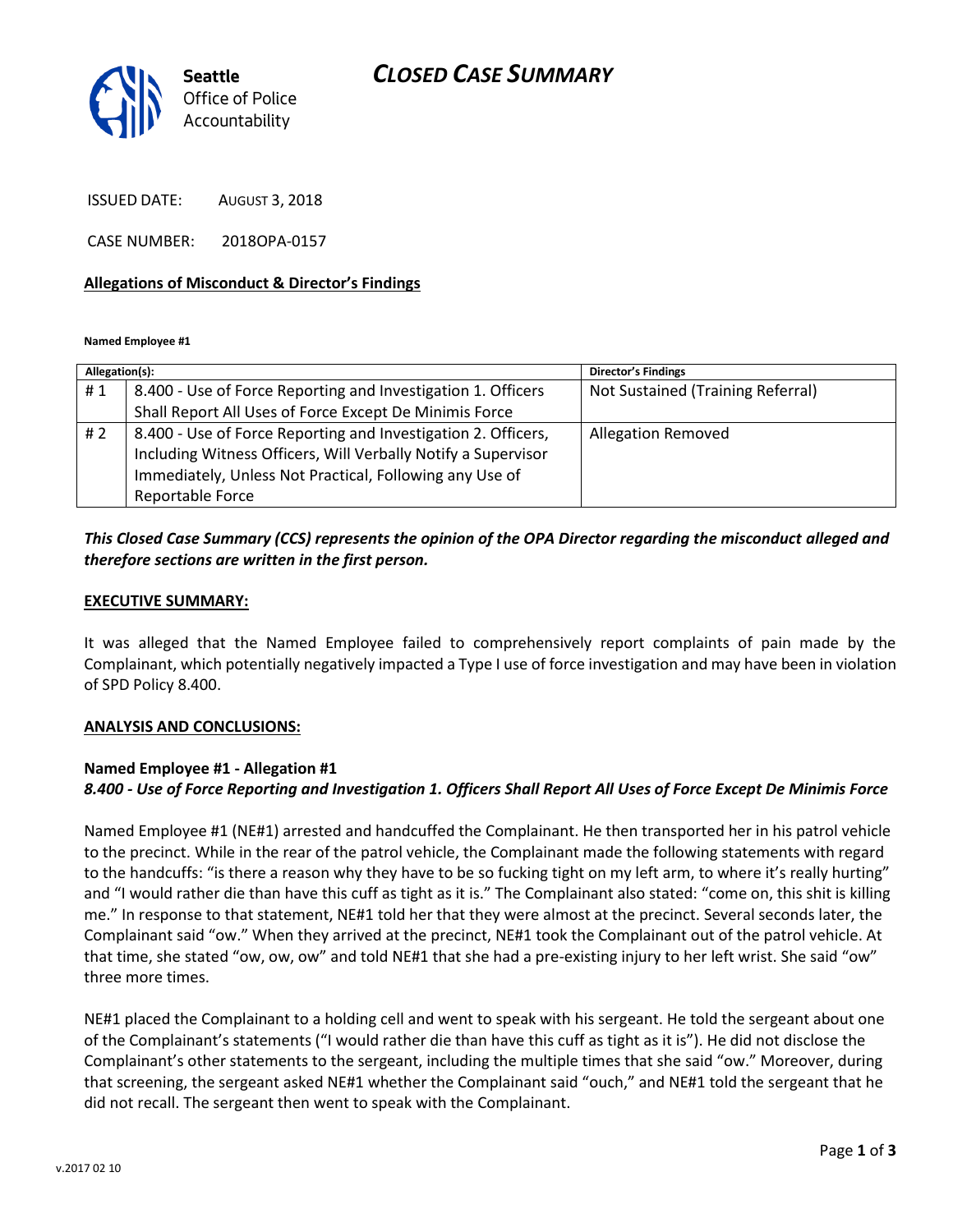# *CLOSED CASE SUMMARY*



ISSUED DATE: AUGUST 3, 2018

CASE NUMBER: 2018OPA-0157

### **Allegations of Misconduct & Director's Findings**

**Named Employee #1**

| Allegation(s): |                                                               | <b>Director's Findings</b>        |
|----------------|---------------------------------------------------------------|-----------------------------------|
| #1             | 8.400 - Use of Force Reporting and Investigation 1. Officers  | Not Sustained (Training Referral) |
|                | Shall Report All Uses of Force Except De Minimis Force        |                                   |
| #2             | 8.400 - Use of Force Reporting and Investigation 2. Officers, | <b>Allegation Removed</b>         |
|                | Including Witness Officers, Will Verbally Notify a Supervisor |                                   |
|                | Immediately, Unless Not Practical, Following any Use of       |                                   |
|                | Reportable Force                                              |                                   |

### *This Closed Case Summary (CCS) represents the opinion of the OPA Director regarding the misconduct alleged and therefore sections are written in the first person.*

#### **EXECUTIVE SUMMARY:**

It was alleged that the Named Employee failed to comprehensively report complaints of pain made by the Complainant, which potentially negatively impacted a Type I use of force investigation and may have been in violation of SPD Policy 8.400.

#### **ANALYSIS AND CONCLUSIONS:**

### **Named Employee #1 - Allegation #1** *8.400 - Use of Force Reporting and Investigation 1. Officers Shall Report All Uses of Force Except De Minimis Force*

Named Employee #1 (NE#1) arrested and handcuffed the Complainant. He then transported her in his patrol vehicle to the precinct. While in the rear of the patrol vehicle, the Complainant made the following statements with regard to the handcuffs: "is there a reason why they have to be so fucking tight on my left arm, to where it's really hurting" and "I would rather die than have this cuff as tight as it is." The Complainant also stated: "come on, this shit is killing me." In response to that statement, NE#1 told her that they were almost at the precinct. Several seconds later, the Complainant said "ow." When they arrived at the precinct, NE#1 took the Complainant out of the patrol vehicle. At that time, she stated "ow, ow, ow" and told NE#1 that she had a pre-existing injury to her left wrist. She said "ow" three more times.

NE#1 placed the Complainant to a holding cell and went to speak with his sergeant. He told the sergeant about one of the Complainant's statements ("I would rather die than have this cuff as tight as it is"). He did not disclose the Complainant's other statements to the sergeant, including the multiple times that she said "ow." Moreover, during that screening, the sergeant asked NE#1 whether the Complainant said "ouch," and NE#1 told the sergeant that he did not recall. The sergeant then went to speak with the Complainant.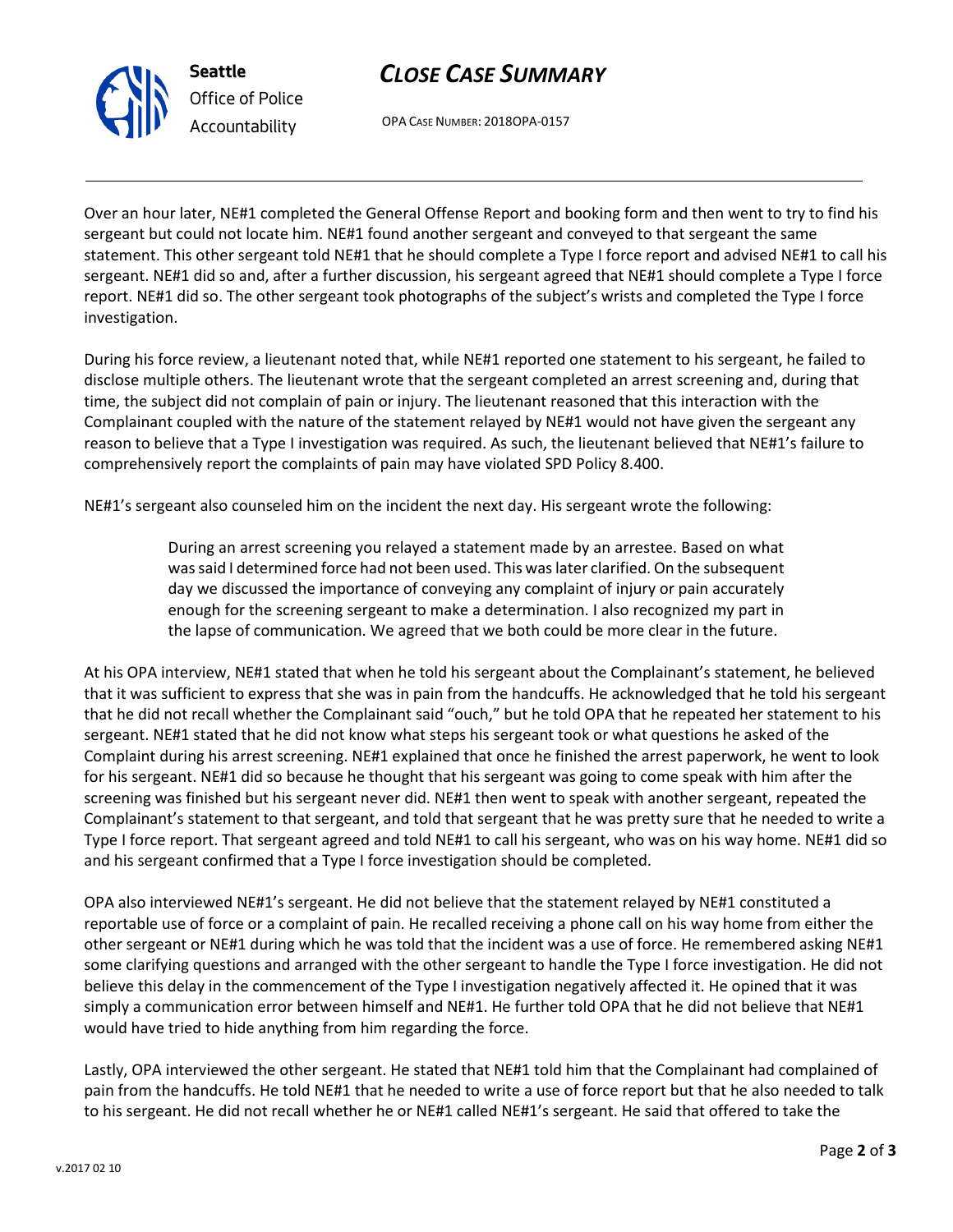

# *CLOSE CASE SUMMARY*

OPA CASE NUMBER: 2018OPA-0157

Over an hour later, NE#1 completed the General Offense Report and booking form and then went to try to find his sergeant but could not locate him. NE#1 found another sergeant and conveyed to that sergeant the same statement. This other sergeant told NE#1 that he should complete a Type I force report and advised NE#1 to call his sergeant. NE#1 did so and, after a further discussion, his sergeant agreed that NE#1 should complete a Type I force report. NE#1 did so. The other sergeant took photographs of the subject's wrists and completed the Type I force investigation.

During his force review, a lieutenant noted that, while NE#1 reported one statement to his sergeant, he failed to disclose multiple others. The lieutenant wrote that the sergeant completed an arrest screening and, during that time, the subject did not complain of pain or injury. The lieutenant reasoned that this interaction with the Complainant coupled with the nature of the statement relayed by NE#1 would not have given the sergeant any reason to believe that a Type I investigation was required. As such, the lieutenant believed that NE#1's failure to comprehensively report the complaints of pain may have violated SPD Policy 8.400.

NE#1's sergeant also counseled him on the incident the next day. His sergeant wrote the following:

During an arrest screening you relayed a statement made by an arrestee. Based on what was said I determined force had not been used. This was later clarified. On the subsequent day we discussed the importance of conveying any complaint of injury or pain accurately enough for the screening sergeant to make a determination. I also recognized my part in the lapse of communication. We agreed that we both could be more clear in the future.

At his OPA interview, NE#1 stated that when he told his sergeant about the Complainant's statement, he believed that it was sufficient to express that she was in pain from the handcuffs. He acknowledged that he told his sergeant that he did not recall whether the Complainant said "ouch," but he told OPA that he repeated her statement to his sergeant. NE#1 stated that he did not know what steps his sergeant took or what questions he asked of the Complaint during his arrest screening. NE#1 explained that once he finished the arrest paperwork, he went to look for his sergeant. NE#1 did so because he thought that his sergeant was going to come speak with him after the screening was finished but his sergeant never did. NE#1 then went to speak with another sergeant, repeated the Complainant's statement to that sergeant, and told that sergeant that he was pretty sure that he needed to write a Type I force report. That sergeant agreed and told NE#1 to call his sergeant, who was on his way home. NE#1 did so and his sergeant confirmed that a Type I force investigation should be completed.

OPA also interviewed NE#1's sergeant. He did not believe that the statement relayed by NE#1 constituted a reportable use of force or a complaint of pain. He recalled receiving a phone call on his way home from either the other sergeant or NE#1 during which he was told that the incident was a use of force. He remembered asking NE#1 some clarifying questions and arranged with the other sergeant to handle the Type I force investigation. He did not believe this delay in the commencement of the Type I investigation negatively affected it. He opined that it was simply a communication error between himself and NE#1. He further told OPA that he did not believe that NE#1 would have tried to hide anything from him regarding the force.

Lastly, OPA interviewed the other sergeant. He stated that NE#1 told him that the Complainant had complained of pain from the handcuffs. He told NE#1 that he needed to write a use of force report but that he also needed to talk to his sergeant. He did not recall whether he or NE#1 called NE#1's sergeant. He said that offered to take the